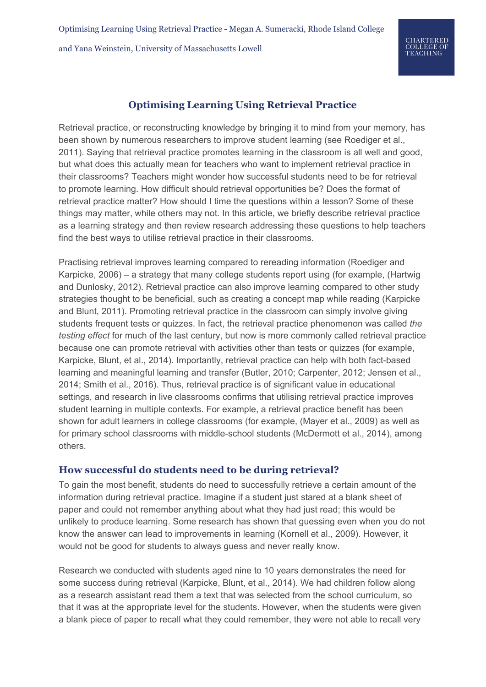## **Optimising Learning Using Retrieval Practice**

Retrieval practice, or reconstructing knowledge by bringing it to mind from your memory, has been shown by numerous researchers to improve student learning (see Roediger et al., 2011). Saying that retrieval practice promotes learning in the classroom is all well and good, but what does this actually mean for teachers who want to implement retrieval practice in their classrooms? Teachers might wonder how successful students need to be for retrieval to promote learning. How difficult should retrieval opportunities be? Does the format of retrieval practice matter? How should I time the questions within a lesson? Some of these things may matter, while others may not. In this article, we briefly describe retrieval practice as a learning strategy and then review research addressing these questions to help teachers find the best ways to utilise retrieval practice in their classrooms.

Practising retrieval improves learning compared to rereading information (Roediger and Karpicke, 2006) – a strategy that many college students report using (for example, (Hartwig and Dunlosky, 2012). Retrieval practice can also improve learning compared to other study strategies thought to be beneficial, such as creating a concept map while reading (Karpicke and Blunt, 2011). Promoting retrieval practice in the classroom can simply involve giving students frequent tests or quizzes. In fact, the retrieval practice phenomenon was called *the testing effect* for much of the last century, but now is more commonly called retrieval practice because one can promote retrieval with activities other than tests or quizzes (for example, Karpicke, Blunt, et al., 2014). Importantly, retrieval practice can help with both fact-based learning and meaningful learning and transfer (Butler, 2010; Carpenter, 2012; Jensen et al., 2014; Smith et al., 2016). Thus, retrieval practice is of significant value in educational settings, and research in live classrooms confirms that utilising retrieval practice improves student learning in multiple contexts. For example, a retrieval practice benefit has been shown for adult learners in college classrooms (for example, (Mayer et al., 2009) as well as for primary school classrooms with middle-school students (McDermott et al., 2014), among others.

#### **How successful do students need to be during retrieval?**

To gain the most benefit, students do need to successfully retrieve a certain amount of the information during retrieval practice. Imagine if a student just stared at a blank sheet of paper and could not remember anything about what they had just read; this would be unlikely to produce learning. Some research has shown that guessing even when you do not know the answer can lead to improvements in learning (Kornell et al., 2009). However, it would not be good for students to always guess and never really know.

Research we conducted with students aged nine to 10 years demonstrates the need for some success during retrieval (Karpicke, Blunt, et al., 2014). We had children follow along as a research assistant read them a text that was selected from the school curriculum, so that it was at the appropriate level for the students. However, when the students were given a blank piece of paper to recall what they could remember, they were not able to recall very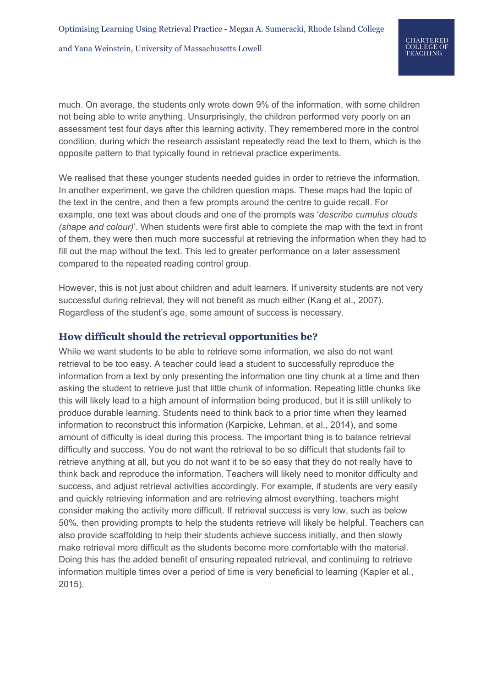much. On average, the students only wrote down 9% of the information, with some children not being able to write anything. Unsurprisingly, the children performed very poorly on an assessment test four days after this learning activity. They remembered more in the control condition, during which the research assistant repeatedly read the text to them, which is the opposite pattern to that typically found in retrieval practice experiments.

We realised that these younger students needed guides in order to retrieve the information. In another experiment, we gave the children question maps. These maps had the topic of the text in the centre, and then a few prompts around the centre to guide recall. For example, one text was about clouds and one of the prompts was '*describe cumulus clouds (shape and colour)*'. When students were first able to complete the map with the text in front of them, they were then much more successful at retrieving the information when they had to fill out the map without the text. This led to greater performance on a later assessment compared to the repeated reading control group.

However, this is not just about children and adult learners. If university students are not very successful during retrieval, they will not benefit as much either (Kang et al., 2007). Regardless of the student's age, some amount of success is necessary.

## **How difficult should the retrieval opportunities be?**

While we want students to be able to retrieve some information, we also do not want retrieval to be too easy. A teacher could lead a student to successfully reproduce the information from a text by only presenting the information one tiny chunk at a time and then asking the student to retrieve just that little chunk of information. Repeating little chunks like this will likely lead to a high amount of information being produced, but it is still unlikely to produce durable learning. Students need to think back to a prior time when they learned information to reconstruct this information (Karpicke, Lehman, et al., 2014), and some amount of difficulty is ideal during this process. The important thing is to balance retrieval difficulty and success. You do not want the retrieval to be so difficult that students fail to retrieve anything at all, but you do not want it to be so easy that they do not really have to think back and reproduce the information. Teachers will likely need to monitor difficulty and success, and adjust retrieval activities accordingly. For example, if students are very easily and quickly retrieving information and are retrieving almost everything, teachers might consider making the activity more difficult. If retrieval success is very low, such as below 50%, then providing prompts to help the students retrieve will likely be helpful. Teachers can also provide scaffolding to help their students achieve success initially, and then slowly make retrieval more difficult as the students become more comfortable with the material. Doing this has the added benefit of ensuring repeated retrieval, and continuing to retrieve information multiple times over a period of time is very beneficial to learning (Kapler et al., 2015).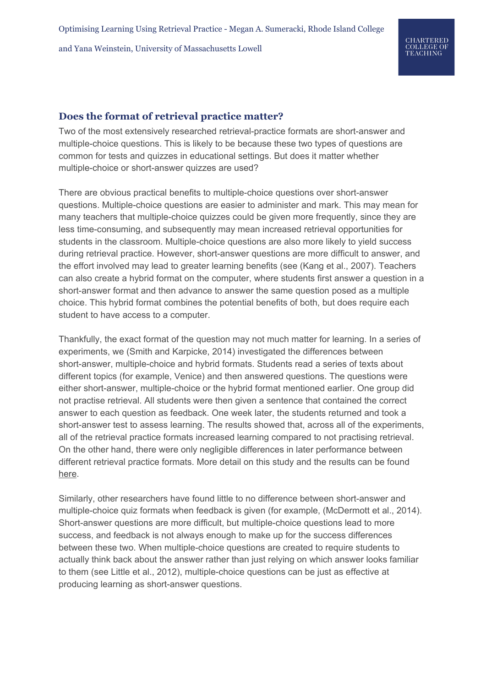# **Does the format of retrieval practice matter?**

Two of the most extensively researched retrieval-practice formats are short-answer and multiple-choice questions. This is likely to be because these two types of questions are common for tests and quizzes in educational settings. But does it matter whether multiple-choice or short-answer quizzes are used?

There are obvious practical benefits to multiple-choice questions over short-answer questions. Multiple-choice questions are easier to administer and mark. This may mean for many teachers that multiple-choice quizzes could be given more frequently, since they are less time-consuming, and subsequently may mean increased retrieval opportunities for students in the classroom. Multiple-choice questions are also more likely to yield success during retrieval practice. However, short-answer questions are more difficult to answer, and the effort involved may lead to greater learning benefits (see (Kang et al., 2007). Teachers can also create a hybrid format on the computer, where students first answer a question in a short-answer format and then advance to answer the same question posed as a multiple choice. This hybrid format combines the potential benefits of both, but does require each student to have access to a computer.

Thankfully, the exact format of the question may not much matter for learning. In a series of experiments, we (Smith and Karpicke, 2014) investigated the differences between short-answer, multiple-choice and hybrid formats. Students read a series of texts about different topics (for example, Venice) and then answered questions. The questions were either short-answer, multiple-choice or the hybrid format mentioned earlier. One group did not practise retrieval. All students were then given a sentence that contained the correct answer to each question as feedback. One week later, the students returned and took a short-answer test to assess learning. The results showed that, across all of the experiments, all of the retrieval practice formats increased learning compared to not practising retrieval. On the other hand, there were only negligible differences in later performance between different retrieval practice formats. More detail on this study and the results can be found [here](http://www.learningscientists.org/blog/2016/3/18-1).

Similarly, other researchers have found little to no difference between short-answer and multiple-choice quiz formats when feedback is given (for example, (McDermott et al., 2014). Short-answer questions are more difficult, but multiple-choice questions lead to more success, and feedback is not always enough to make up for the success differences between these two. When multiple-choice questions are created to require students to actually think back about the answer rather than just relying on which answer looks familiar to them (see Little et al., 2012), multiple-choice questions can be just as effective at producing learning as short-answer questions.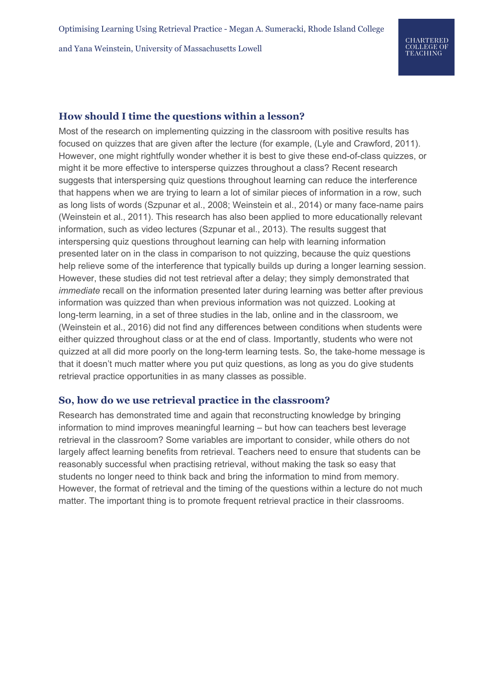### **How should I time the questions within a lesson?**

Most of the research on implementing quizzing in the classroom with positive results has focused on quizzes that are given after the lecture (for example, (Lyle and Crawford, 2011). However, one might rightfully wonder whether it is best to give these end-of-class quizzes, or might it be more effective to intersperse quizzes throughout a class? Recent research suggests that interspersing quiz questions throughout learning can reduce the interference that happens when we are trying to learn a lot of similar pieces of information in a row, such as long lists of words (Szpunar et al., 2008; Weinstein et al., 2014) or many face-name pairs (Weinstein et al., 2011). This research has also been applied to more educationally relevant information, such as video lectures (Szpunar et al., 2013). The results suggest that interspersing quiz questions throughout learning can help with learning information presented later on in the class in comparison to not quizzing, because the quiz questions help relieve some of the interference that typically builds up during a longer learning session. However, these studies did not test retrieval after a delay; they simply demonstrated that *immediate* recall on the information presented later during learning was better after previous information was quizzed than when previous information was not quizzed. Looking at long-term learning, in a set of three studies in the lab, online and in the classroom, we (Weinstein et al., 2016) did not find any differences between conditions when students were either quizzed throughout class or at the end of class. Importantly, students who were not quizzed at all did more poorly on the long-term learning tests. So, the take-home message is that it doesn't much matter where you put quiz questions, as long as you do give students retrieval practice opportunities in as many classes as possible.

#### **So, how do we use retrieval practice in the classroom?**

Research has demonstrated time and again that reconstructing knowledge by bringing information to mind improves meaningful learning – but how can teachers best leverage retrieval in the classroom? Some variables are important to consider, while others do not largely affect learning benefits from retrieval. Teachers need to ensure that students can be reasonably successful when practising retrieval, without making the task so easy that students no longer need to think back and bring the information to mind from memory. However, the format of retrieval and the timing of the questions within a lecture do not much matter. The important thing is to promote frequent retrieval practice in their classrooms.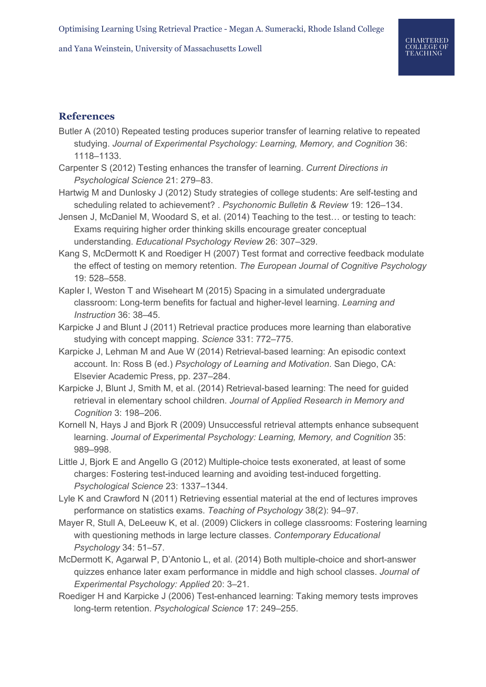# **References**

- Butler A (2010) Repeated testing produces superior transfer of learning relative to repeated studying. *Journal of Experimental Psychology: Learning, Memory, and Cognition* 36: 1118–1133.
- Carpenter S (2012) Testing enhances the transfer of learning. *Current Directions in Psychological Science* 21: 279–83.
- Hartwig M and Dunlosky J (2012) Study strategies of college students: Are self-testing and scheduling related to achievement? . *Psychonomic Bulletin & Review* 19: 126–134.
- Jensen J, McDaniel M, Woodard S, et al. (2014) Teaching to the test… or testing to teach: Exams requiring higher order thinking skills encourage greater conceptual understanding. *Educational Psychology Review* 26: 307–329.
- Kang S, McDermott K and Roediger H (2007) Test format and corrective feedback modulate the effect of testing on memory retention. *The European Journal of Cognitive Psychology* 19: 528–558.
- Kapler I, Weston T and Wiseheart M (2015) Spacing in a simulated undergraduate classroom: Long-term benefits for factual and higher-level learning. *Learning and Instruction* 36: 38–45.
- Karpicke J and Blunt J (2011) Retrieval practice produces more learning than elaborative studying with concept mapping. *Science* 331: 772–775.
- Karpicke J, Lehman M and Aue W (2014) Retrieval-based learning: An episodic context account. In: Ross B (ed.) *Psychology of Learning and Motivation*. San Diego, CA: Elsevier Academic Press, pp. 237–284.
- Karpicke J, Blunt J, Smith M, et al. (2014) Retrieval-based learning: The need for guided retrieval in elementary school children. *Journal of Applied Research in Memory and Cognition* 3: 198–206.
- Kornell N, Hays J and Bjork R (2009) Unsuccessful retrieval attempts enhance subsequent learning. *Journal of Experimental Psychology: Learning, Memory, and Cognition* 35: 989–998.
- Little J, Bjork E and Angello G (2012) Multiple-choice tests exonerated, at least of some charges: Fostering test-induced learning and avoiding test-induced forgetting. *Psychological Science* 23: 1337–1344.
- Lyle K and Crawford N (2011) Retrieving essential material at the end of lectures improves performance on statistics exams. *Teaching of Psychology* 38(2): 94–97.
- Mayer R, Stull A, DeLeeuw K, et al. (2009) Clickers in college classrooms: Fostering learning with questioning methods in large lecture classes. *Contemporary Educational Psychology* 34: 51–57.
- McDermott K, Agarwal P, D'Antonio L, et al. (2014) Both multiple-choice and short-answer quizzes enhance later exam performance in middle and high school classes. *Journal of Experimental Psychology: Applied* 20: 3–21.
- Roediger H and Karpicke J (2006) Test-enhanced learning: Taking memory tests improves long-term retention. *Psychological Science* 17: 249–255.